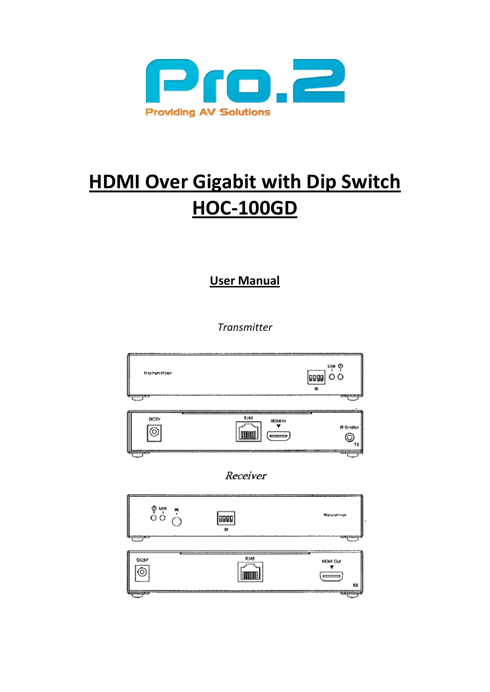

# **HDMI Over Gigabit with Dip Switch HOC-100GD**

**User Manual**

*Transmitter* 

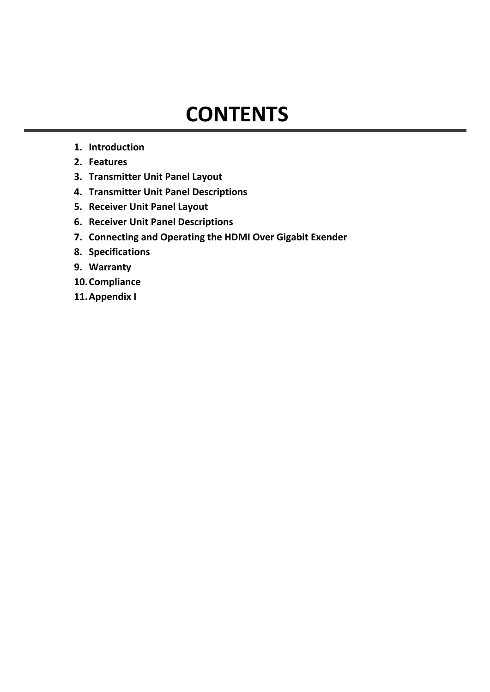## **CONTENTS**

- **1. Introduction**
- **2. Features**
- **3. Transmitter Unit Panel Layout**
- **4. Transmitter Unit Panel Descriptions**
- **5. Receiver Unit Panel Layout**
- **6. Receiver Unit Panel Descriptions**
- **7. Connecting and Operating the HDMI Over Gigabit Exender**
- **8. Specifications**
- **9. Warranty**
- **10.Compliance**
- **11.Appendix I**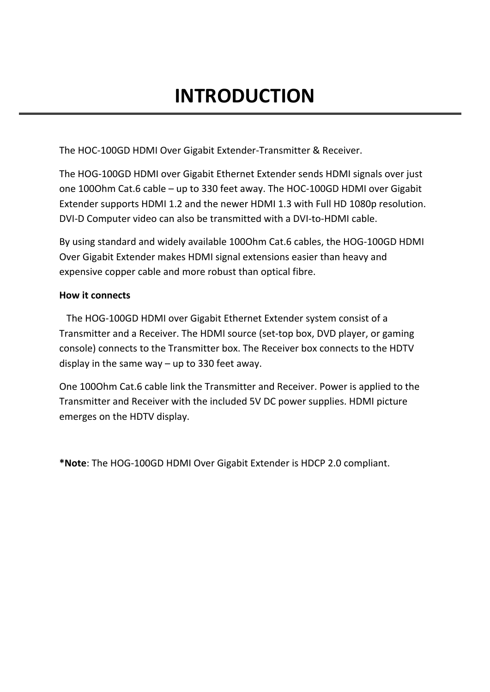## **INTRODUCTION**

The HOC-100GD HDMI Over Gigabit Extender-Transmitter & Receiver.

The HOG-100GD HDMI over Gigabit Ethernet Extender sends HDMI signals over just one 100Ohm Cat.6 cable – up to 330 feet away. The HOC-100GD HDMI over Gigabit Extender supports HDMI 1.2 and the newer HDMI 1.3 with Full HD 1080p resolution. DVI-D Computer video can also be transmitted with a DVI-to-HDMI cable.

By using standard and widely available 100Ohm Cat.6 cables, the HOG-100GD HDMI Over Gigabit Extender makes HDMI signal extensions easier than heavy and expensive copper cable and more robust than optical fibre.

### **How it connects**

 The HOG-100GD HDMI over Gigabit Ethernet Extender system consist of a Transmitter and a Receiver. The HDMI source (set-top box, DVD player, or gaming console) connects to the Transmitter box. The Receiver box connects to the HDTV display in the same way – up to 330 feet away.

One 100Ohm Cat.6 cable link the Transmitter and Receiver. Power is applied to the Transmitter and Receiver with the included 5V DC power supplies. HDMI picture emerges on the HDTV display.

**\*Note**: The HOG-100GD HDMI Over Gigabit Extender is HDCP 2.0 compliant.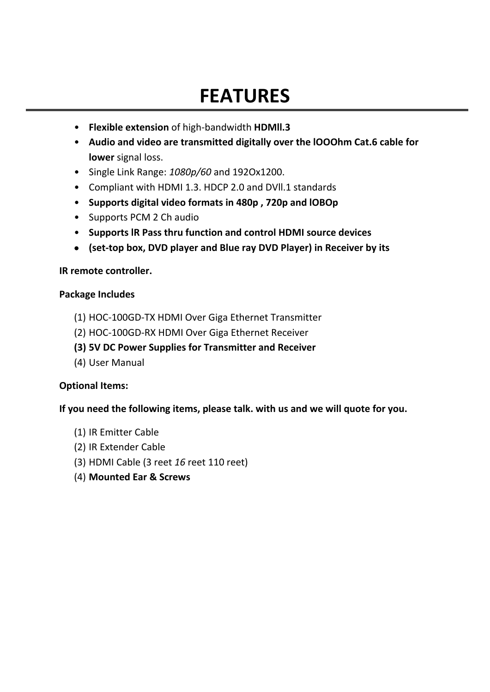## **FEATURES**

- **Flexible extension** of high-bandwidth **HDMll.3**
- **Audio and video are transmitted digitally over the lOOOhm Cat.6 cable for lower** signal loss.
- Single Link Range: *1080p/60* and 192Ox1200.
- Compliant with HDMI 1.3. HDCP 2.0 and DVll.1 standards
- **Supports digital video formats in 480p , 720p and lOBOp**
- Supports PCM 2 Ch audio
- **Supports lR Pass thru function and control HDMI source devices**
- **(set-top box, DVD player and Blue ray DVD Player) in Receiver by its**

#### **IR remote controller.**

#### **Package Includes**

- (1) HOC-100GD-TX HDMI Over Giga Ethernet Transmitter
- (2) HOC-100GD-RX HDMI Over Giga Ethernet Receiver
- **(3) 5V DC Power Supplies for Transmitter and Receiver**
- (4) User Manual

### **Optional Items:**

**If you need the following items, please talk. with us and we will quote for you.** 

- (1) IR Emitter Cable
- (2) IR Extender Cable
- (3) HDMI Cable (3 reet *16* reet 110 reet)
- (4) **Mounted Ear & Screws**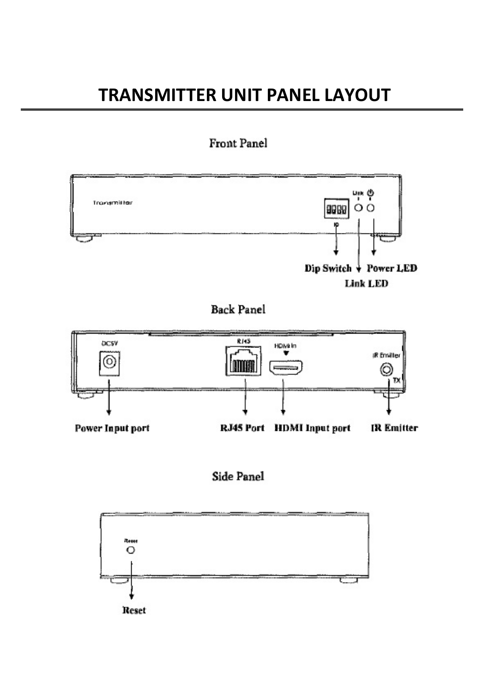## **TRANSMITTER UNIT PANEL LAYOUT**

## Front Panel



**Back Panel** 





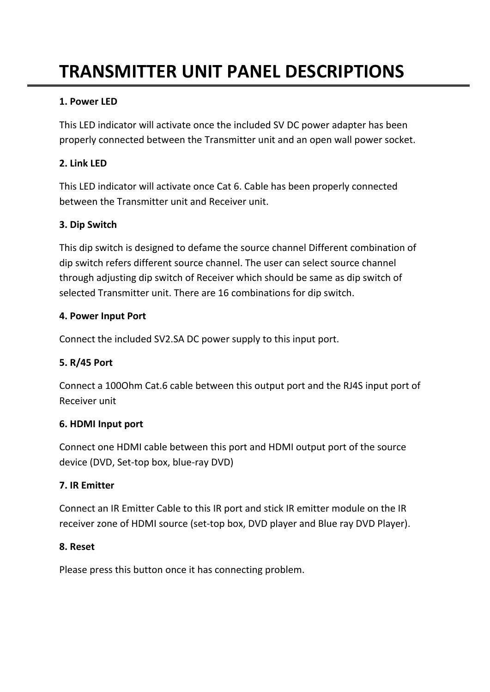## **TRANSMITTER UNIT PANEL DESCRIPTIONS**

## **1. Power LED**

This LED indicator will activate once the included SV DC power adapter has been properly connected between the Transmitter unit and an open wall power socket.

### **2. Link LED**

This LED indicator will activate once Cat 6. Cable has been properly connected between the Transmitter unit and Receiver unit.

### **3. Dip Switch**

This dip switch is designed to defame the source channel Different combination of dip switch refers different source channel. The user can select source channel through adjusting dip switch of Receiver which should be same as dip switch of selected Transmitter unit. There are 16 combinations for dip switch.

#### **4. Power Input Port**

Connect the included SV2.SA DC power supply to this input port.

### **5. R/45 Port**

Connect a 100Ohm Cat.6 cable between this output port and the RJ4S input port of Receiver unit

### **6. HDMI Input port**

Connect one HDMI cable between this port and HDMI output port of the source device (DVD, Set-top box, blue-ray DVD)

### **7. IR Emitter**

Connect an IR Emitter Cable to this IR port and stick IR emitter module on the IR receiver zone of HDMI source (set-top box, DVD player and Blue ray DVD Player).

### **8. Reset**

Please press this button once it has connecting problem.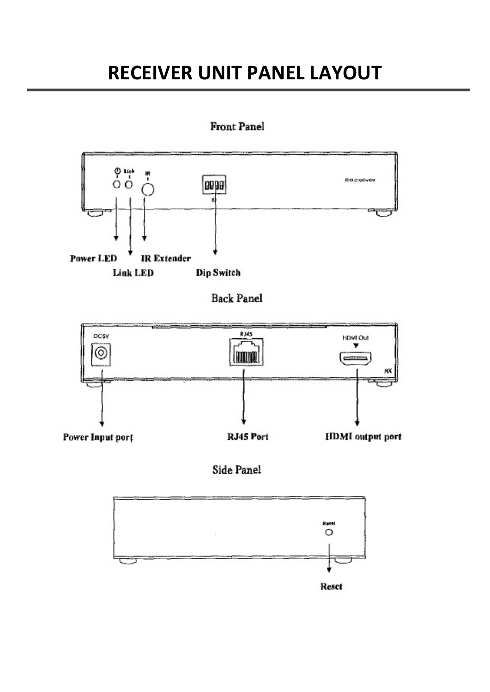## **RECEIVER UNIT PANEL LAYOUT**

## **Front Panel**



**Back Panel** 



## Side Panel

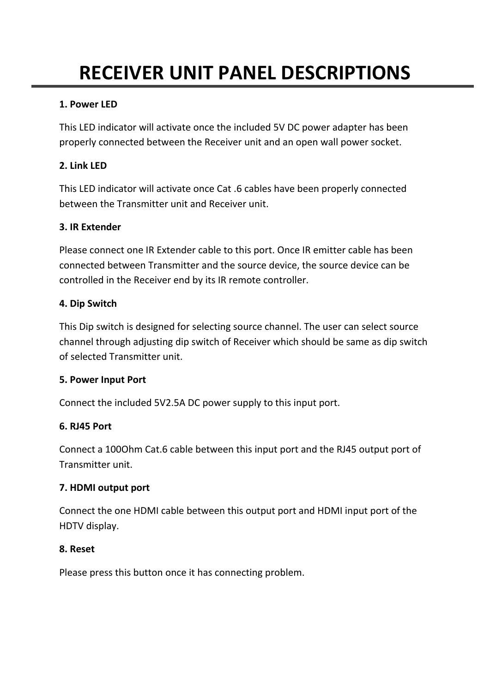# **RECEIVER UNIT PANEL DESCRIPTIONS**

## **1. Power LED**

This LED indicator will activate once the included 5V DC power adapter has been properly connected between the Receiver unit and an open wall power socket.

## **2. Link LED**

This LED indicator will activate once Cat .6 cables have been properly connected between the Transmitter unit and Receiver unit.

## **3. IR Extender**

Please connect one IR Extender cable to this port. Once IR emitter cable has been connected between Transmitter and the source device, the source device can be controlled in the Receiver end by its IR remote controller.

## **4. Dip Switch**

This Dip switch is designed for selecting source channel. The user can select source channel through adjusting dip switch of Receiver which should be same as dip switch of selected Transmitter unit.

## **5. Power Input Port**

Connect the included 5V2.5A DC power supply to this input port.

## **6. RJ45 Port**

Connect a 100Ohm Cat.6 cable between this input port and the RJ45 output port of Transmitter unit.

## **7. HDMI output port**

Connect the one HDMI cable between this output port and HDMI input port of the HDTV display.

## **8. Reset**

Please press this button once it has connecting problem.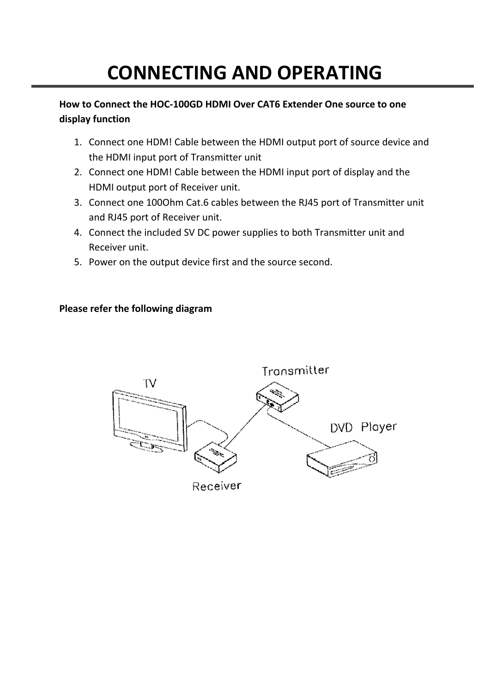# **CONNECTING AND OPERATING**

## **How to Connect the HOC-100GD HDMI Over CAT6 Extender One source to one display function**

- 1. Connect one HDM! Cable between the HDMI output port of source device and the HDMI input port of Transmitter unit
- 2. Connect one HDM! Cable between the HDMI input port of display and the HDMI output port of Receiver unit.
- 3. Connect one 100Ohm Cat.6 cables between the RJ45 port of Transmitter unit and RJ45 port of Receiver unit.
- 4. Connect the included SV DC power supplies to both Transmitter unit and Receiver unit.
- 5. Power on the output device first and the source second.

## **Please refer the following diagram**

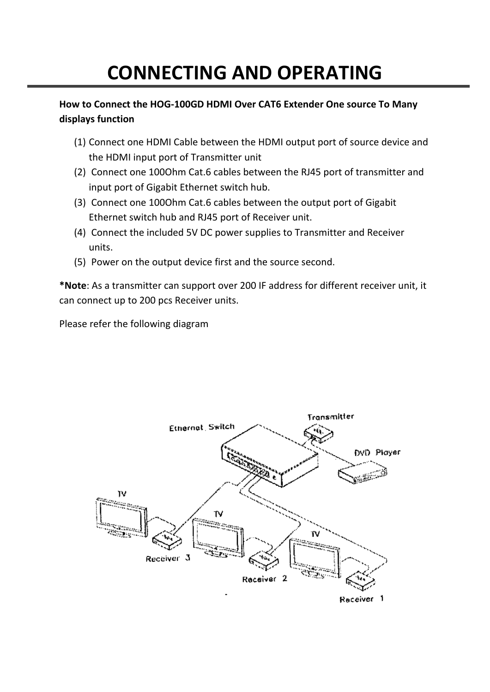# **CONNECTING AND OPERATING**

## **How to Connect the HOG-100GD HDMI Over CAT6 Extender One source To Many displays function**

- (1) Connect one HDMI Cable between the HDMI output port of source device and the HDMI input port of Transmitter unit
- (2) Connect one 100Ohm Cat.6 cables between the RJ45 port of transmitter and input port of Gigabit Ethernet switch hub.
- (3) Connect one 100Ohm Cat.6 cables between the output port of Gigabit Ethernet switch hub and RJ45 port of Receiver unit.
- (4) Connect the included 5V DC power supplies to Transmitter and Receiver units.
- (5) Power on the output device first and the source second.

**\*Note**: As a transmitter can support over 200 IF address for different receiver unit, it can connect up to 200 pcs Receiver units.

Please refer the following diagram

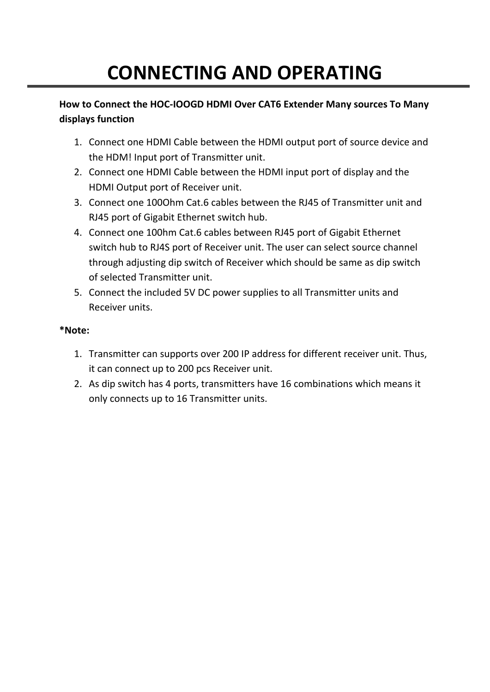# **CONNECTING AND OPERATING**

## **How to Connect the HOC-IOOGD HDMI Over CAT6 Extender Many sources To Many displays function**

- 1. Connect one HDMI Cable between the HDMI output port of source device and the HDM! Input port of Transmitter unit.
- 2. Connect one HDMI Cable between the HDMI input port of display and the HDMI Output port of Receiver unit.
- 3. Connect one 100Ohm Cat.6 cables between the RJ45 of Transmitter unit and RJ45 port of Gigabit Ethernet switch hub.
- 4. Connect one 100hm Cat.6 cables between RJ45 port of Gigabit Ethernet switch hub to RJ4S port of Receiver unit. The user can select source channel through adjusting dip switch of Receiver which should be same as dip switch of selected Transmitter unit.
- 5. Connect the included 5V DC power supplies to all Transmitter units and Receiver units.

## **\*Note:**

- 1. Transmitter can supports over 200 IP address for different receiver unit. Thus, it can connect up to 200 pcs Receiver unit.
- 2. As dip switch has 4 ports, transmitters have 16 combinations which means it only connects up to 16 Transmitter units.